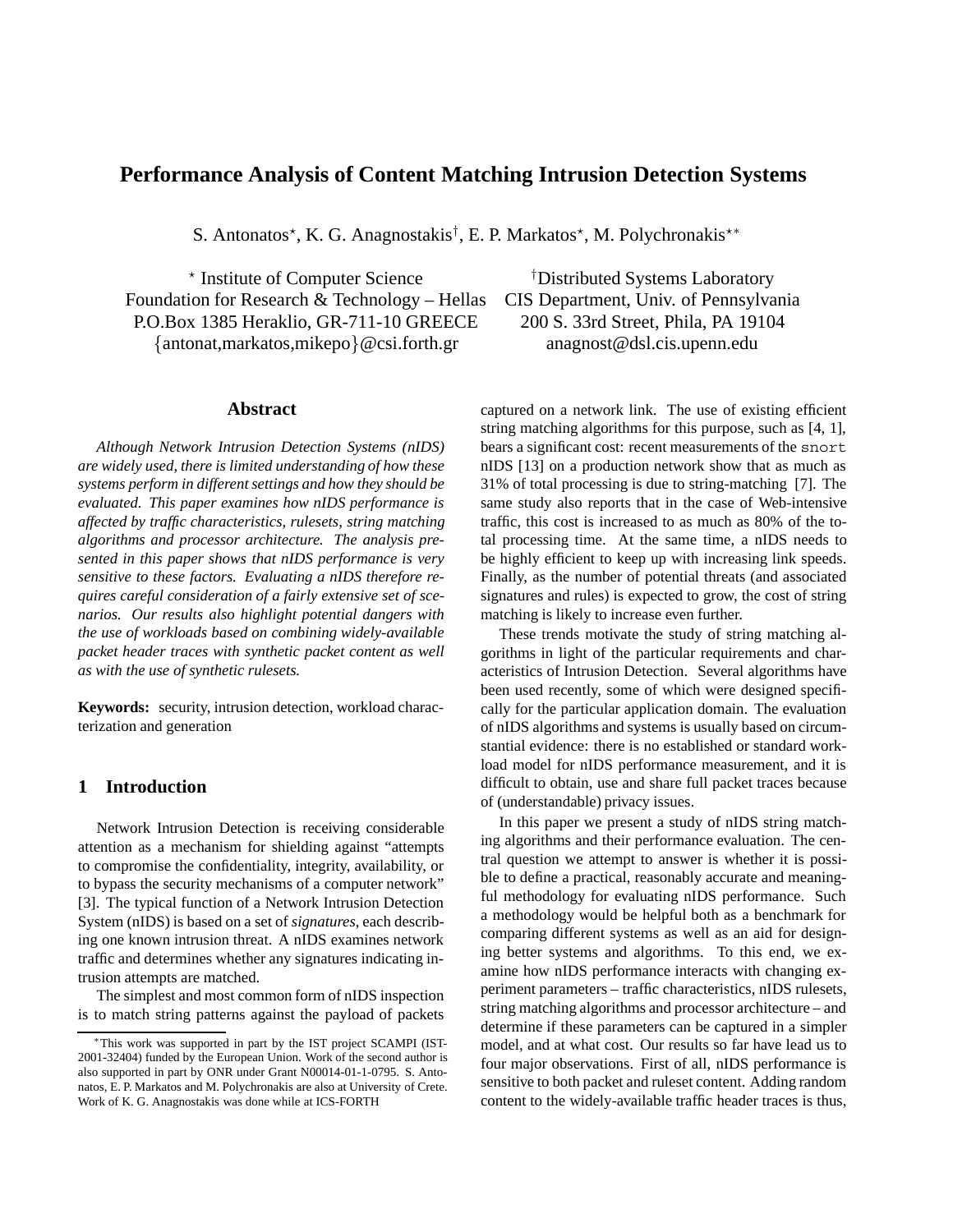# **Performance Analysis of Content Matching Intrusion Detection Systems**

S. Antonatos\*, K. G. Anagnostakis<sup>†</sup>, E. P. Markatos\*, M. Polychronakis\*\*

\* Institute of Computer Science Foundation for Research & Technology – Hellas CIS Department, Univ. of Pennsylvania P.O.Box 1385 Heraklio, GR-711-10 GREECE 200 S. 33rd Street, Phila, PA 19104 *{*antonat,markatos,mikepo*}*@csi.forth.gr anagnost@dsl.cis.upenn.edu

# **Abstract**

*Although Network Intrusion Detection Systems (nIDS) are widely used, there is limited understanding of how these systems perform in different settings and how they should be evaluated. This paper examines how nIDS performance is affected by traffic characteristics, rulesets, string matching algorithms and processor architecture. The analysis presented in this paper shows that nIDS performance is very sensitive to these factors. Evaluating a nIDS therefore requires careful consideration of a fairly extensive set of scenarios. Our results also highlight potential dangers with the use of workloads based on combining widely-available packet header traces with synthetic packet content as well as with the use of synthetic rulesets.*

**Keywords:** security, intrusion detection, workload characterization and generation

# **1 Introduction**

Network Intrusion Detection is receiving considerable attention as a mechanism for shielding against "attempts to compromise the confidentiality, integrity, availability, or to bypass the security mechanisms of a computer network" [3]. The typical function of a Network Intrusion Detection System (nIDS) is based on a set of *signatures*, each describing one known intrusion threat. A nIDS examines network traffic and determines whether any signatures indicating intrusion attempts are matched.

The simplest and most common form of nIDS inspection is to match string patterns against the payload of packets Distributed Systems Laboratory

captured on a network link. The use of existing efficient string matching algorithms for this purpose, such as [4, 1], bears a significant cost: recent measurements of the snort nIDS [13] on a production network show that as much as 31% of total processing is due to string-matching [7]. The same study also reports that in the case of Web-intensive traffic, this cost is increased to as much as 80% of the total processing time. At the same time, a nIDS needs to be highly efficient to keep up with increasing link speeds. Finally, as the number of potential threats (and associated signatures and rules) is expected to grow, the cost of string matching is likely to increase even further.

These trends motivate the study of string matching algorithms in light of the particular requirements and characteristics of Intrusion Detection. Several algorithms have been used recently, some of which were designed specifically for the particular application domain. The evaluation of nIDS algorithms and systems is usually based on circumstantial evidence: there is no established or standard workload model for nIDS performance measurement, and it is difficult to obtain, use and share full packet traces because of (understandable) privacy issues.

In this paper we present a study of nIDS string matching algorithms and their performance evaluation. The central question we attempt to answer is whether it is possible to define a practical, reasonably accurate and meaningful methodology for evaluating nIDS performance. Such a methodology would be helpful both as a benchmark for comparing different systems as well as an aid for designing better systems and algorithms. To this end, we examine how nIDS performance interacts with changing experiment parameters – traffic characteristics, nIDS rulesets, string matching algorithms and processor architecture – and determine if these parameters can be captured in a simpler model, and at what cost. Our results so far have lead us to four major observations. First of all, nIDS performance is sensitive to both packet and ruleset content. Adding random content to the widely-available traffic header traces is thus,

<sup>∗</sup>This work was supported in part by the IST project SCAMPI (IST-2001-32404) funded by the European Union. Work of the second author is also supported in part by ONR under Grant N00014-01-1-0795. S. Antonatos, E. P. Markatos and M. Polychronakis are also at University of Crete. Work of K. G. Anagnostakis was done while at ICS-FORTH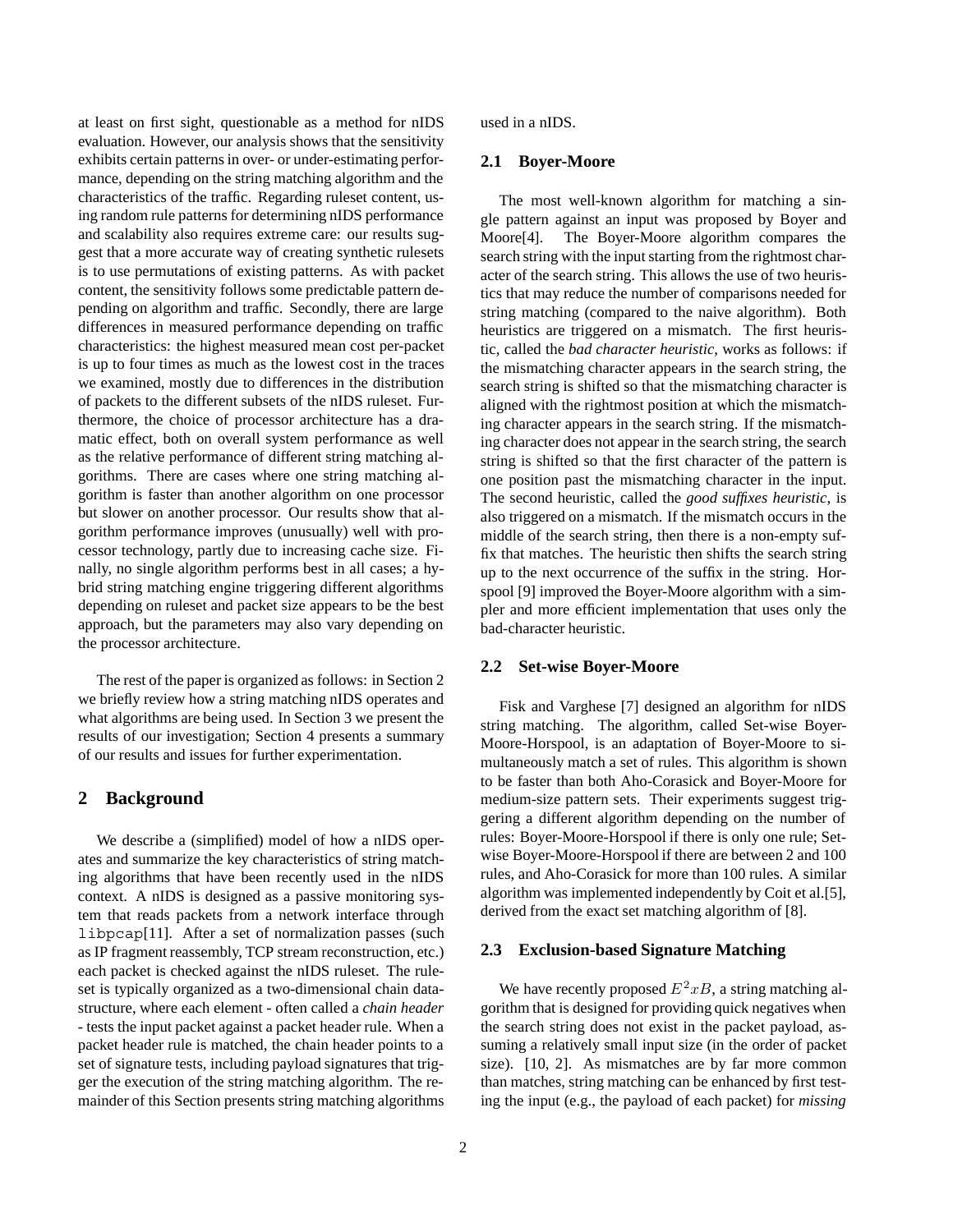at least on first sight, questionable as a method for nIDS evaluation. However, our analysis shows that the sensitivity exhibits certain patterns in over- or under-estimating performance, depending on the string matching algorithm and the characteristics of the traffic. Regarding ruleset content, using random rule patterns for determining nIDS performance and scalability also requires extreme care: our results suggest that a more accurate way of creating synthetic rulesets is to use permutations of existing patterns. As with packet content, the sensitivity follows some predictable pattern depending on algorithm and traffic. Secondly, there are large differences in measured performance depending on traffic characteristics: the highest measured mean cost per-packet is up to four times as much as the lowest cost in the traces we examined, mostly due to differences in the distribution of packets to the different subsets of the nIDS ruleset. Furthermore, the choice of processor architecture has a dramatic effect, both on overall system performance as well as the relative performance of different string matching algorithms. There are cases where one string matching algorithm is faster than another algorithm on one processor but slower on another processor. Our results show that algorithm performance improves (unusually) well with processor technology, partly due to increasing cache size. Finally, no single algorithm performs best in all cases; a hybrid string matching engine triggering different algorithms depending on ruleset and packet size appears to be the best approach, but the parameters may also vary depending on the processor architecture.

The rest of the paper is organized as follows: in Section 2 we briefly review how a string matching nIDS operates and what algorithms are being used. In Section 3 we present the results of our investigation; Section 4 presents a summary of our results and issues for further experimentation.

# **2 Background**

We describe a (simplified) model of how a nIDS operates and summarize the key characteristics of string matching algorithms that have been recently used in the nIDS context. A nIDS is designed as a passive monitoring system that reads packets from a network interface through libpcap[11]. After a set of normalization passes (such as IP fragment reassembly, TCP stream reconstruction, etc.) each packet is checked against the nIDS ruleset. The ruleset is typically organized as a two-dimensional chain datastructure, where each element - often called a *chain header* - tests the input packet against a packet header rule. When a packet header rule is matched, the chain header points to a set of signature tests, including payload signatures that trigger the execution of the string matching algorithm. The remainder of this Section presents string matching algorithms used in a nIDS.

# **2.1 Boyer-Moore**

The most well-known algorithm for matching a single pattern against an input was proposed by Boyer and Moore[4]. The Boyer-Moore algorithm compares the search string with the input starting from the rightmost character of the search string. This allows the use of two heuristics that may reduce the number of comparisons needed for string matching (compared to the naive algorithm). Both heuristics are triggered on a mismatch. The first heuristic, called the *bad character heuristic*, works as follows: if the mismatching character appears in the search string, the search string is shifted so that the mismatching character is aligned with the rightmost position at which the mismatching character appears in the search string. If the mismatching character does not appear in the search string, the search string is shifted so that the first character of the pattern is one position past the mismatching character in the input. The second heuristic, called the *good suffixes heuristic*, is also triggered on a mismatch. If the mismatch occurs in the middle of the search string, then there is a non-empty suffix that matches. The heuristic then shifts the search string up to the next occurrence of the suffix in the string. Horspool [9] improved the Boyer-Moore algorithm with a simpler and more efficient implementation that uses only the bad-character heuristic.

#### **2.2 Set-wise Boyer-Moore**

Fisk and Varghese [7] designed an algorithm for nIDS string matching. The algorithm, called Set-wise Boyer-Moore-Horspool, is an adaptation of Boyer-Moore to simultaneously match a set of rules. This algorithm is shown to be faster than both Aho-Corasick and Boyer-Moore for medium-size pattern sets. Their experiments suggest triggering a different algorithm depending on the number of rules: Boyer-Moore-Horspool if there is only one rule; Setwise Boyer-Moore-Horspool if there are between 2 and 100 rules, and Aho-Corasick for more than 100 rules. A similar algorithm was implemented independently by Coit et al.[5], derived from the exact set matching algorithm of [8].

#### **2.3 Exclusion-based Signature Matching**

We have recently proposed  $E^2xB$ , a string matching algorithm that is designed for providing quick negatives when the search string does not exist in the packet payload, assuming a relatively small input size (in the order of packet size). [10, 2]. As mismatches are by far more common than matches, string matching can be enhanced by first testing the input (e.g., the payload of each packet) for *missing*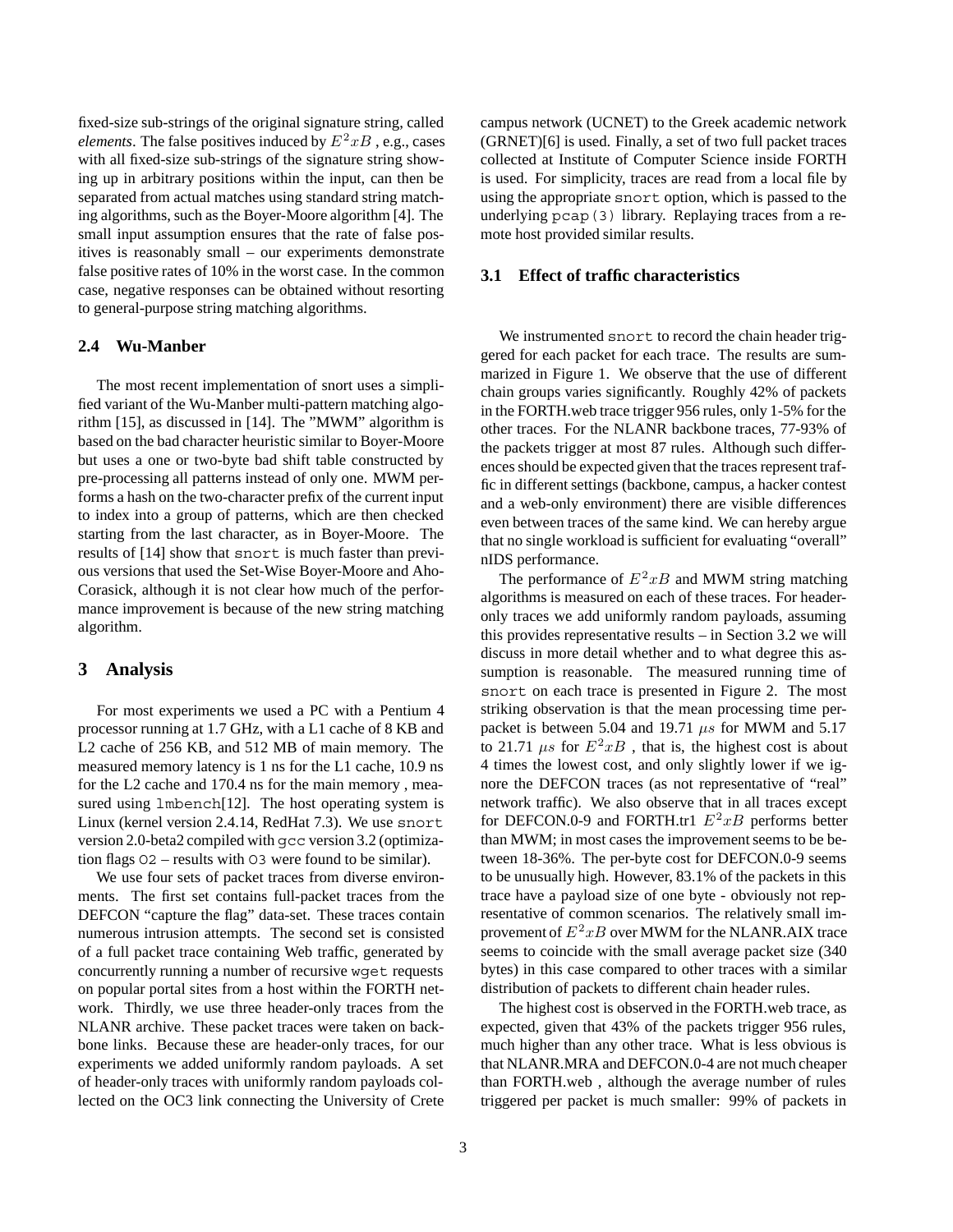fixed-size sub-strings of the original signature string, called *elements*. The false positives induced by  $E^2 x B$ , e.g., cases with all fixed-size sub-strings of the signature string showing up in arbitrary positions within the input, can then be separated from actual matches using standard string matching algorithms, such as the Boyer-Moore algorithm [4]. The small input assumption ensures that the rate of false positives is reasonably small – our experiments demonstrate false positive rates of 10% in the worst case. In the common case, negative responses can be obtained without resorting to general-purpose string matching algorithms.

#### **2.4 Wu-Manber**

The most recent implementation of snort uses a simplified variant of the Wu-Manber multi-pattern matching algorithm [15], as discussed in [14]. The "MWM" algorithm is based on the bad character heuristic similar to Boyer-Moore but uses a one or two-byte bad shift table constructed by pre-processing all patterns instead of only one. MWM performs a hash on the two-character prefix of the current input to index into a group of patterns, which are then checked starting from the last character, as in Boyer-Moore. The results of [14] show that snort is much faster than previous versions that used the Set-Wise Boyer-Moore and Aho-Corasick, although it is not clear how much of the performance improvement is because of the new string matching algorithm.

#### **3 Analysis**

For most experiments we used a PC with a Pentium 4 processor running at 1.7 GHz, with a L1 cache of 8 KB and L2 cache of 256 KB, and 512 MB of main memory. The measured memory latency is 1 ns for the L1 cache, 10.9 ns for the L2 cache and 170.4 ns for the main memory , measured using lmbench[12]. The host operating system is Linux (kernel version 2.4.14, RedHat 7.3). We use snort version 2.0-beta2 compiled with gcc version 3.2 (optimization flags O2 – results with O3 were found to be similar).

We use four sets of packet traces from diverse environments. The first set contains full-packet traces from the DEFCON "capture the flag" data-set. These traces contain numerous intrusion attempts. The second set is consisted of a full packet trace containing Web traffic, generated by concurrently running a number of recursive wget requests on popular portal sites from a host within the FORTH network. Thirdly, we use three header-only traces from the NLANR archive. These packet traces were taken on backbone links. Because these are header-only traces, for our experiments we added uniformly random payloads. A set of header-only traces with uniformly random payloads collected on the OC3 link connecting the University of Crete campus network (UCNET) to the Greek academic network (GRNET)[6] is used. Finally, a set of two full packet traces collected at Institute of Computer Science inside FORTH is used. For simplicity, traces are read from a local file by using the appropriate snort option, which is passed to the underlying pcap(3) library. Replaying traces from a remote host provided similar results.

# **3.1 Effect of traffic characteristics**

We instrumented snort to record the chain header triggered for each packet for each trace. The results are summarized in Figure 1. We observe that the use of different chain groups varies significantly. Roughly 42% of packets in the FORTH.web trace trigger 956 rules, only 1-5% for the other traces. For the NLANR backbone traces, 77-93% of the packets trigger at most 87 rules. Although such differences should be expected given that the traces represent traffic in different settings (backbone, campus, a hacker contest and a web-only environment) there are visible differences even between traces of the same kind. We can hereby argue that no single workload is sufficient for evaluating "overall" nIDS performance.

The performance of  $E^2xB$  and MWM string matching algorithms is measured on each of these traces. For headeronly traces we add uniformly random payloads, assuming this provides representative results – in Section 3.2 we will discuss in more detail whether and to what degree this assumption is reasonable. The measured running time of snort on each trace is presented in Figure 2. The most striking observation is that the mean processing time perpacket is between 5.04 and 19.71 *µs* for MWM and 5.17 to 21.71  $\mu s$  for  $E^2 x B$ , that is, the highest cost is about 4 times the lowest cost, and only slightly lower if we ignore the DEFCON traces (as not representative of "real" network traffic). We also observe that in all traces except for DEFCON.0-9 and FORTH.tr1 *E*<sup>2</sup>*xB* performs better than MWM; in most cases the improvement seems to be between 18-36%. The per-byte cost for DEFCON.0-9 seems to be unusually high. However, 83.1% of the packets in this trace have a payload size of one byte - obviously not representative of common scenarios. The relatively small improvement of  $E^2xB$  over MWM for the NLANR.AIX trace seems to coincide with the small average packet size (340 bytes) in this case compared to other traces with a similar distribution of packets to different chain header rules.

The highest cost is observed in the FORTH.web trace, as expected, given that 43% of the packets trigger 956 rules, much higher than any other trace. What is less obvious is that NLANR.MRA and DEFCON.0-4 are not much cheaper than FORTH.web , although the average number of rules triggered per packet is much smaller: 99% of packets in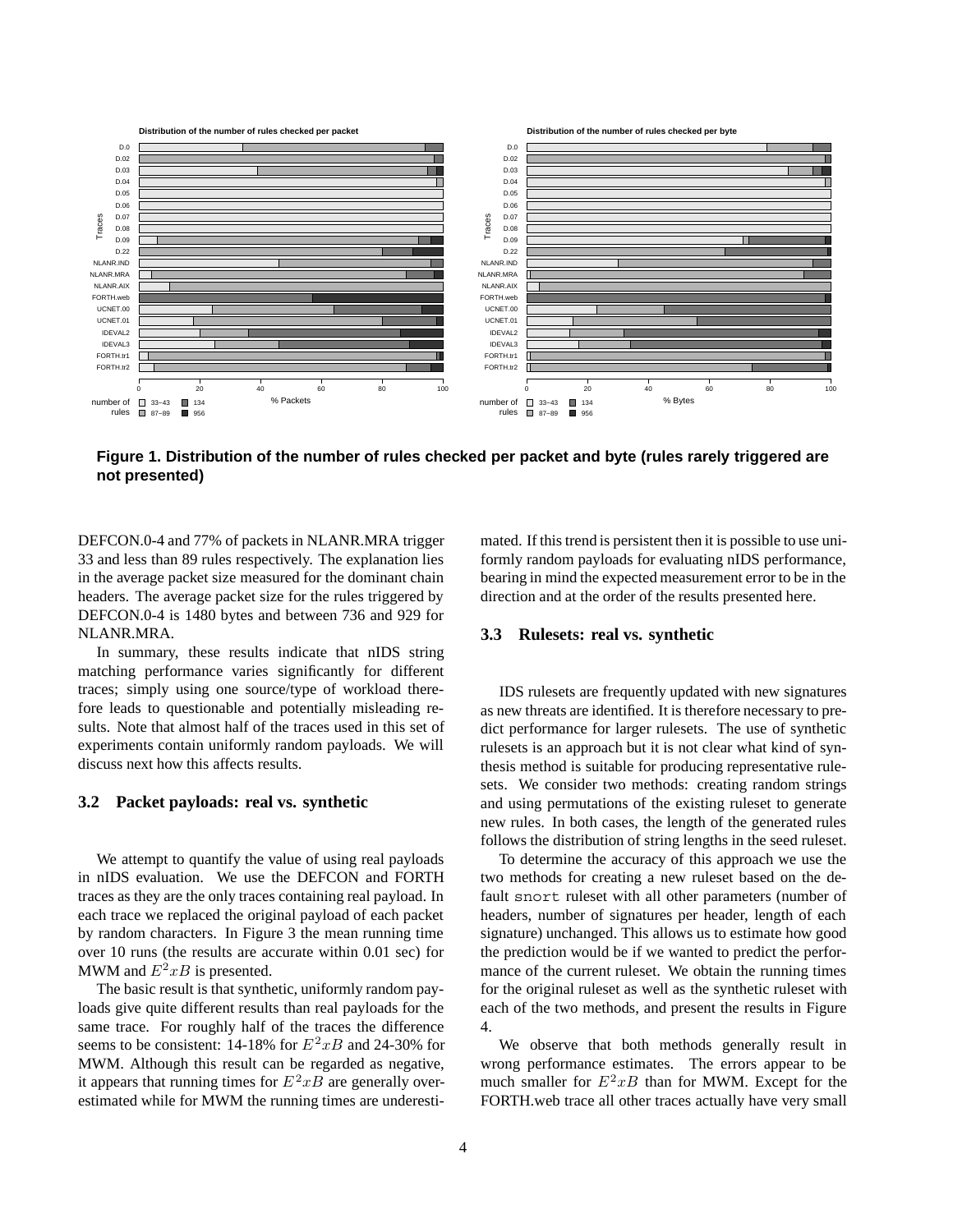

**Figure 1. Distribution of the number of rules checked per packet and byte (rules rarely triggered are not presented)**

DEFCON.0-4 and 77% of packets in NLANR.MRA trigger 33 and less than 89 rules respectively. The explanation lies in the average packet size measured for the dominant chain headers. The average packet size for the rules triggered by DEFCON.0-4 is 1480 bytes and between 736 and 929 for NLANR.MRA.

In summary, these results indicate that nIDS string matching performance varies significantly for different traces; simply using one source/type of workload therefore leads to questionable and potentially misleading results. Note that almost half of the traces used in this set of experiments contain uniformly random payloads. We will discuss next how this affects results.

#### **3.2 Packet payloads: real vs. synthetic**

We attempt to quantify the value of using real payloads in nIDS evaluation. We use the DEFCON and FORTH traces as they are the only traces containing real payload. In each trace we replaced the original payload of each packet by random characters. In Figure 3 the mean running time over 10 runs (the results are accurate within 0.01 sec) for MWM and  $E^2xB$  is presented.

The basic result is that synthetic, uniformly random payloads give quite different results than real payloads for the same trace. For roughly half of the traces the difference seems to be consistent: 14-18% for *E*<sup>2</sup>*xB* and 24-30% for MWM. Although this result can be regarded as negative, it appears that running times for  $E^2 x B$  are generally overestimated while for MWM the running times are underestimated. If this trend is persistent then it is possible to use uniformly random payloads for evaluating nIDS performance, bearing in mind the expected measurement error to be in the direction and at the order of the results presented here.

#### **3.3 Rulesets: real vs. synthetic**

IDS rulesets are frequently updated with new signatures as new threats are identified. It is therefore necessary to predict performance for larger rulesets. The use of synthetic rulesets is an approach but it is not clear what kind of synthesis method is suitable for producing representative rulesets. We consider two methods: creating random strings and using permutations of the existing ruleset to generate new rules. In both cases, the length of the generated rules follows the distribution of string lengths in the seed ruleset.

To determine the accuracy of this approach we use the two methods for creating a new ruleset based on the default snort ruleset with all other parameters (number of headers, number of signatures per header, length of each signature) unchanged. This allows us to estimate how good the prediction would be if we wanted to predict the performance of the current ruleset. We obtain the running times for the original ruleset as well as the synthetic ruleset with each of the two methods, and present the results in Figure 4.

We observe that both methods generally result in wrong performance estimates. The errors appear to be much smaller for  $E^2xB$  than for MWM. Except for the FORTH.web trace all other traces actually have very small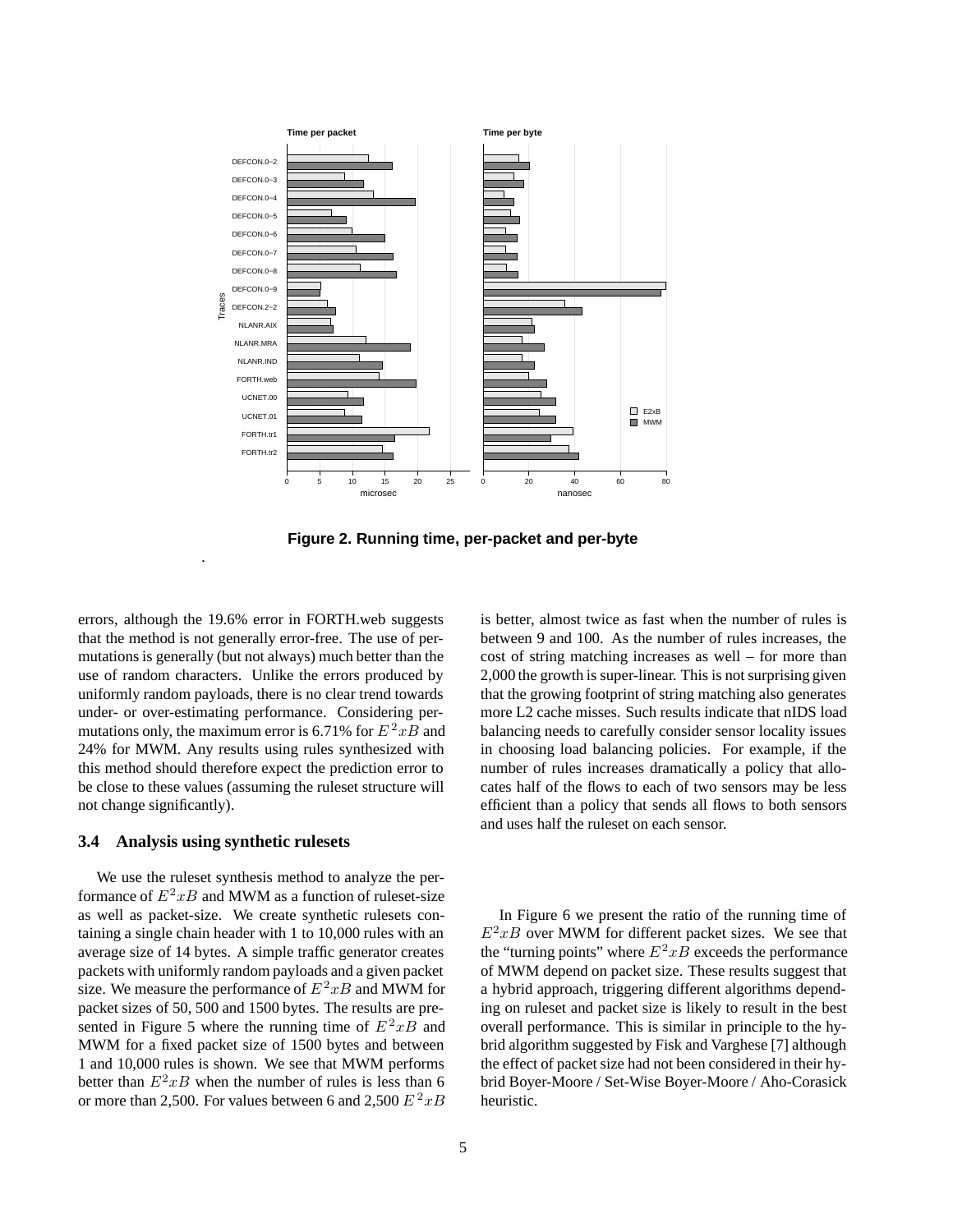

**Figure 2. Running time, per-packet and per-byte**

errors, although the 19.6% error in FORTH.web suggests that the method is not generally error-free. The use of permutations is generally (but not always) much better than the use of random characters. Unlike the errors produced by uniformly random payloads, there is no clear trend towards under- or over-estimating performance. Considering permutations only, the maximum error is 6.71% for  $E^2xB$  and 24% for MWM. Any results using rules synthesized with this method should therefore expect the prediction error to be close to these values (assuming the ruleset structure will not change significantly).

#### **3.4 Analysis using synthetic rulesets**

.

We use the ruleset synthesis method to analyze the performance of  $E^2xB$  and MWM as a function of ruleset-size as well as packet-size. We create synthetic rulesets containing a single chain header with 1 to 10,000 rules with an average size of 14 bytes. A simple traffic generator creates packets with uniformly random payloads and a given packet size. We measure the performance of  $E^2xB$  and MWM for packet sizes of 50, 500 and 1500 bytes. The results are presented in Figure 5 where the running time of  $E^2xB$  and MWM for a fixed packet size of 1500 bytes and between 1 and 10,000 rules is shown. We see that MWM performs better than  $E^2 x B$  when the number of rules is less than 6 or more than 2,500. For values between 6 and 2,500  $E^2 xB$  is better, almost twice as fast when the number of rules is between 9 and 100. As the number of rules increases, the cost of string matching increases as well – for more than 2,000 the growth is super-linear. This is not surprising given that the growing footprint of string matching also generates more L2 cache misses. Such results indicate that nIDS load balancing needs to carefully consider sensor locality issues in choosing load balancing policies. For example, if the number of rules increases dramatically a policy that allocates half of the flows to each of two sensors may be less efficient than a policy that sends all flows to both sensors and uses half the ruleset on each sensor.

In Figure 6 we present the ratio of the running time of  $E^2xB$  over MWM for different packet sizes. We see that the "turning points" where  $E^2xB$  exceeds the performance of MWM depend on packet size. These results suggest that a hybrid approach, triggering different algorithms depending on ruleset and packet size is likely to result in the best overall performance. This is similar in principle to the hybrid algorithm suggested by Fisk and Varghese [7] although the effect of packet size had not been considered in their hybrid Boyer-Moore / Set-Wise Boyer-Moore / Aho-Corasick heuristic.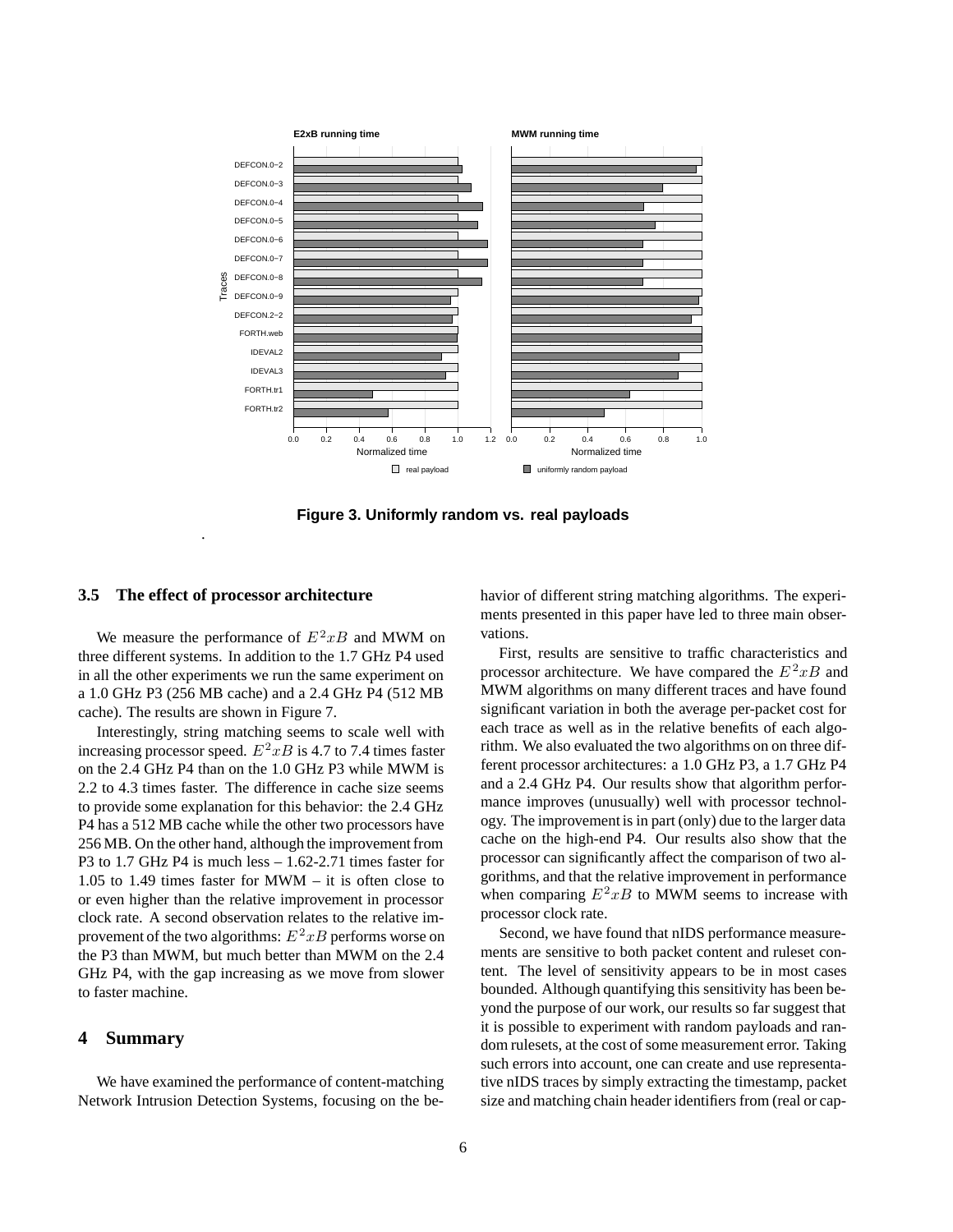

**Figure 3. Uniformly random vs. real payloads**

#### **3.5 The effect of processor architecture**

.

We measure the performance of  $E^2xB$  and MWM on three different systems. In addition to the 1.7 GHz P4 used in all the other experiments we run the same experiment on a 1.0 GHz P3 (256 MB cache) and a 2.4 GHz P4 (512 MB cache). The results are shown in Figure 7.

Interestingly, string matching seems to scale well with increasing processor speed.  $E^2xB$  is 4.7 to 7.4 times faster on the 2.4 GHz P4 than on the 1.0 GHz P3 while MWM is 2.2 to 4.3 times faster. The difference in cache size seems to provide some explanation for this behavior: the 2.4 GHz P4 has a 512 MB cache while the other two processors have 256 MB. On the other hand, although the improvement from P3 to 1.7 GHz P4 is much less – 1.62-2.71 times faster for 1.05 to 1.49 times faster for MWM – it is often close to or even higher than the relative improvement in processor clock rate. A second observation relates to the relative improvement of the two algorithms:  $E^2xB$  performs worse on the P3 than MWM, but much better than MWM on the 2.4 GHz P4, with the gap increasing as we move from slower to faster machine.

#### **4 Summary**

We have examined the performance of content-matching Network Intrusion Detection Systems, focusing on the behavior of different string matching algorithms. The experiments presented in this paper have led to three main observations.

First, results are sensitive to traffic characteristics and processor architecture. We have compared the  $E^2xB$  and MWM algorithms on many different traces and have found significant variation in both the average per-packet cost for each trace as well as in the relative benefits of each algorithm. We also evaluated the two algorithms on on three different processor architectures: a 1.0 GHz P3, a 1.7 GHz P4 and a 2.4 GHz P4. Our results show that algorithm performance improves (unusually) well with processor technology. The improvement is in part (only) due to the larger data cache on the high-end P4. Our results also show that the processor can significantly affect the comparison of two algorithms, and that the relative improvement in performance when comparing  $E^2xB$  to MWM seems to increase with processor clock rate.

Second, we have found that nIDS performance measurements are sensitive to both packet content and ruleset content. The level of sensitivity appears to be in most cases bounded. Although quantifying this sensitivity has been beyond the purpose of our work, our results so far suggest that it is possible to experiment with random payloads and random rulesets, at the cost of some measurement error. Taking such errors into account, one can create and use representative nIDS traces by simply extracting the timestamp, packet size and matching chain header identifiers from (real or cap-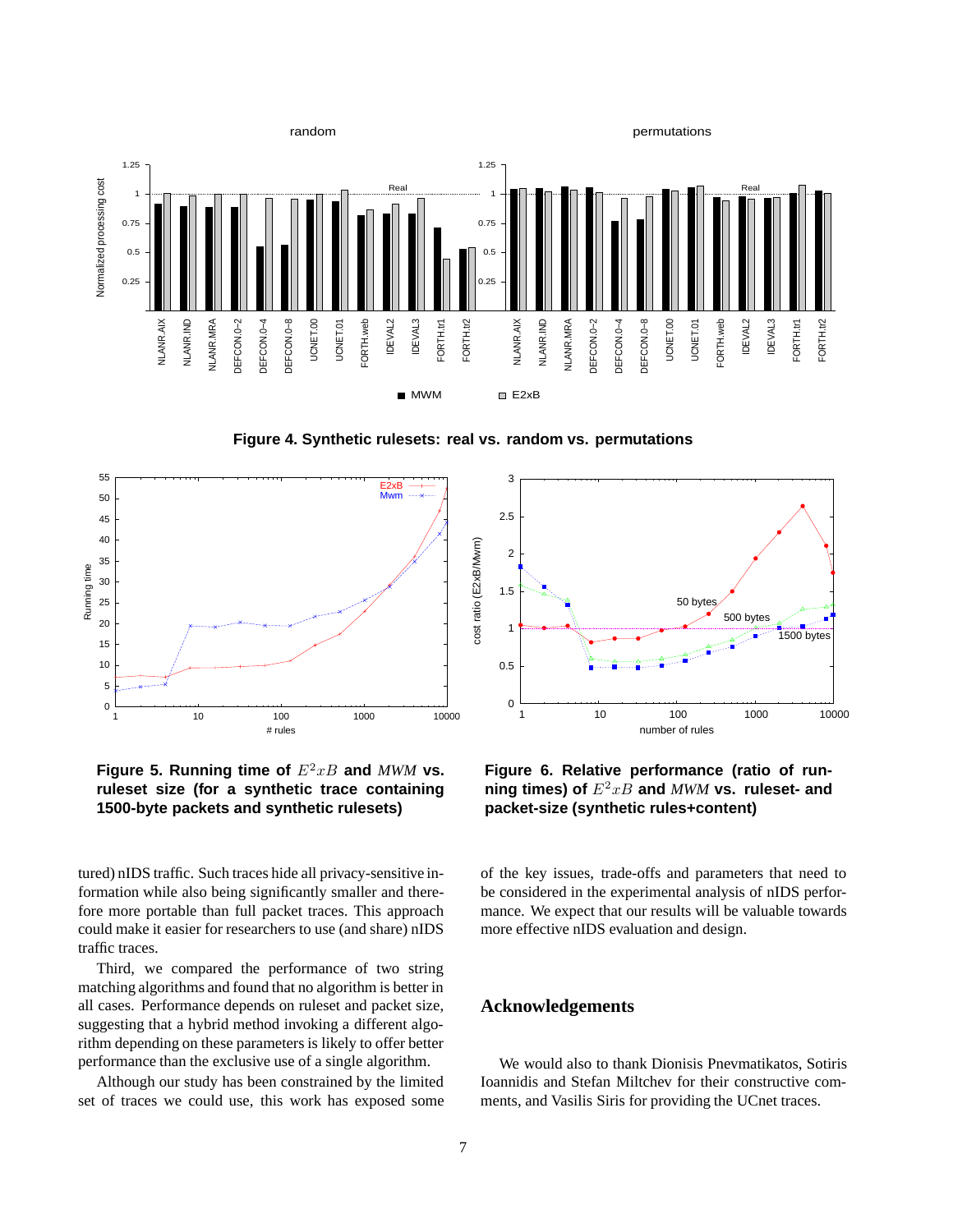

**Figure 4. Synthetic rulesets: real vs. random vs. permutations**



**Figure 5. Running time of** *E*<sup>2</sup>*xB* **and** *MWM* **vs. ruleset size (for a synthetic trace containing 1500-byte packets and synthetic rulesets)**

tured) nIDS traffic. Such traces hide all privacy-sensitive information while also being significantly smaller and therefore more portable than full packet traces. This approach could make it easier for researchers to use (and share) nIDS traffic traces.

Third, we compared the performance of two string matching algorithms and found that no algorithm is better in all cases. Performance depends on ruleset and packet size, suggesting that a hybrid method invoking a different algorithm depending on these parameters is likely to offer better performance than the exclusive use of a single algorithm.

Although our study has been constrained by the limited set of traces we could use, this work has exposed some



**Figure 6. Relative performance (ratio of running times) of** *E*<sup>2</sup>*xB* **and** *MWM* **vs. ruleset- and packet-size (synthetic rules+content)**

of the key issues, trade-offs and parameters that need to be considered in the experimental analysis of nIDS performance. We expect that our results will be valuable towards more effective nIDS evaluation and design.

# **Acknowledgements**

We would also to thank Dionisis Pnevmatikatos, Sotiris Ioannidis and Stefan Miltchev for their constructive comments, and Vasilis Siris for providing the UCnet traces.